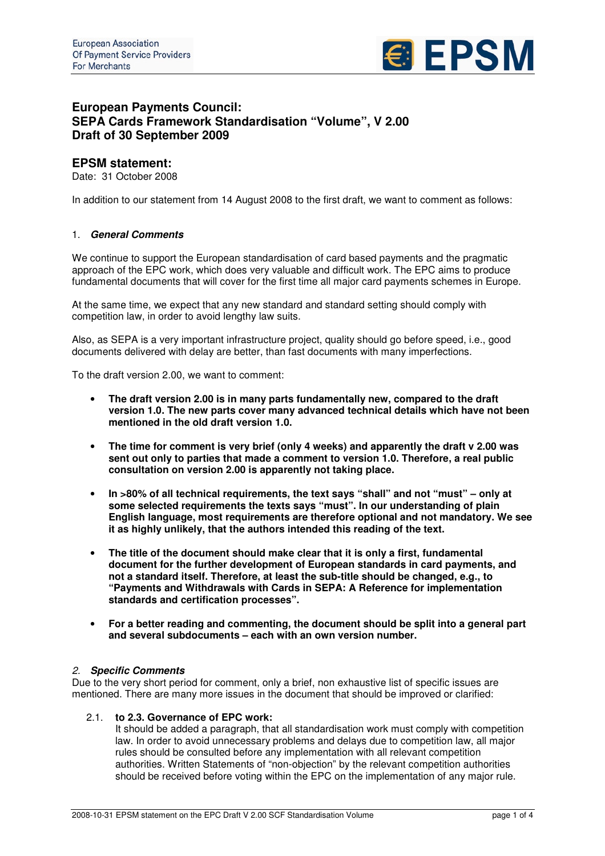

# **European Payments Council: SEPA Cards Framework Standardisation "Volume", V 2.00 Draft of 30 September 2009**

# **EPSM statement:**

Date: 31 October 2008

In addition to our statement from 14 August 2008 to the first draft, we want to comment as follows:

# 1. *General Comments*

We continue to support the European standardisation of card based payments and the pragmatic approach of the EPC work, which does very valuable and difficult work. The EPC aims to produce fundamental documents that will cover for the first time all major card payments schemes in Europe.

At the same time, we expect that any new standard and standard setting should comply with competition law, in order to avoid lengthy law suits.

Also, as SEPA is a very important infrastructure project, quality should go before speed, i.e., good documents delivered with delay are better, than fast documents with many imperfections.

To the draft version 2.00, we want to comment:

- **The draft version 2.00 is in many parts fundamentally new, compared to the draft version 1.0. The new parts cover many advanced technical details which have not been mentioned in the old draft version 1.0.**
- **The time for comment is very brief (only 4 weeks) and apparently the draft v 2.00 was sent out only to parties that made a comment to version 1.0. Therefore, a real public consultation on version 2.00 is apparently not taking place.**
- **In >80% of all technical requirements, the text says "shall" and not "must" – only at some selected requirements the texts says "must". In our understanding of plain English language, most requirements are therefore optional and not mandatory. We see it as highly unlikely, that the authors intended this reading of the text.**
- **The title of the document should make clear that it is only a first, fundamental document for the further development of European standards in card payments, and not a standard itself. Therefore, at least the sub-title should be changed, e.g., to "Payments and Withdrawals with Cards in SEPA: A Reference for implementation standards and certification processes".**
- **For a better reading and commenting, the document should be split into a general part and several subdocuments – each with an own version number.**

#### *2. Specific Comments*

Due to the very short period for comment, only a brief, non exhaustive list of specific issues are mentioned. There are many more issues in the document that should be improved or clarified:

# 2.1. **to 2.3. Governance of EPC work:**

It should be added a paragraph, that all standardisation work must comply with competition law. In order to avoid unnecessary problems and delays due to competition law, all major rules should be consulted before any implementation with all relevant competition authorities. Written Statements of "non-objection" by the relevant competition authorities should be received before voting within the EPC on the implementation of any major rule.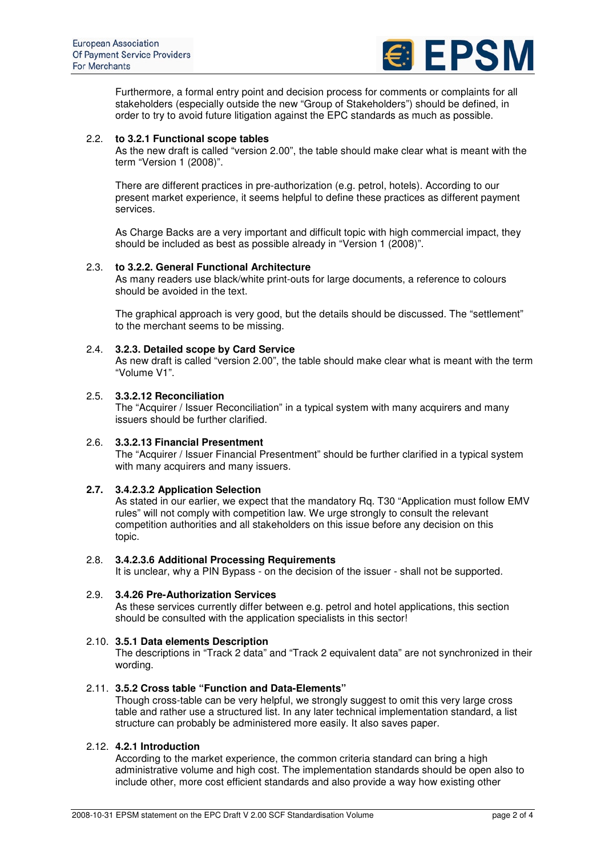

Furthermore, a formal entry point and decision process for comments or complaints for all stakeholders (especially outside the new "Group of Stakeholders") should be defined, in order to try to avoid future litigation against the EPC standards as much as possible.

#### 2.2. **to 3.2.1 Functional scope tables**

As the new draft is called "version 2.00", the table should make clear what is meant with the term "Version 1 (2008)".

There are different practices in pre-authorization (e.g. petrol, hotels). According to our present market experience, it seems helpful to define these practices as different payment services.

As Charge Backs are a very important and difficult topic with high commercial impact, they should be included as best as possible already in "Version 1 (2008)".

#### 2.3. **to 3.2.2. General Functional Architecture**

As many readers use black/white print-outs for large documents, a reference to colours should be avoided in the text.

The graphical approach is very good, but the details should be discussed. The "settlement" to the merchant seems to be missing.

# 2.4. **3.2.3. Detailed scope by Card Service**

As new draft is called "version 2.00", the table should make clear what is meant with the term "Volume V1".

# 2.5. **3.3.2.12 Reconciliation**

The "Acquirer / Issuer Reconciliation" in a typical system with many acquirers and many issuers should be further clarified.

# 2.6. **3.3.2.13 Financial Presentment**

The "Acquirer / Issuer Financial Presentment" should be further clarified in a typical system with many acquirers and many issuers.

#### **2.7. 3.4.2.3.2 Application Selection**

As stated in our earlier, we expect that the mandatory Rq. T30 "Application must follow EMV rules" will not comply with competition law. We urge strongly to consult the relevant competition authorities and all stakeholders on this issue before any decision on this topic.

#### 2.8. **3.4.2.3.6 Additional Processing Requirements**

It is unclear, why a PIN Bypass - on the decision of the issuer - shall not be supported.

# 2.9. **3.4.26 Pre-Authorization Services**

As these services currently differ between e.g. petrol and hotel applications, this section should be consulted with the application specialists in this sector!

#### 2.10. **3.5.1 Data elements Description**

The descriptions in "Track 2 data" and "Track 2 equivalent data" are not synchronized in their wording.

# 2.11. **3.5.2 Cross table "Function and Data-Elements"**

Though cross-table can be very helpful, we strongly suggest to omit this very large cross table and rather use a structured list. In any later technical implementation standard, a list structure can probably be administered more easily. It also saves paper.

#### 2.12. **4.2.1 Introduction**

According to the market experience, the common criteria standard can bring a high administrative volume and high cost. The implementation standards should be open also to include other, more cost efficient standards and also provide a way how existing other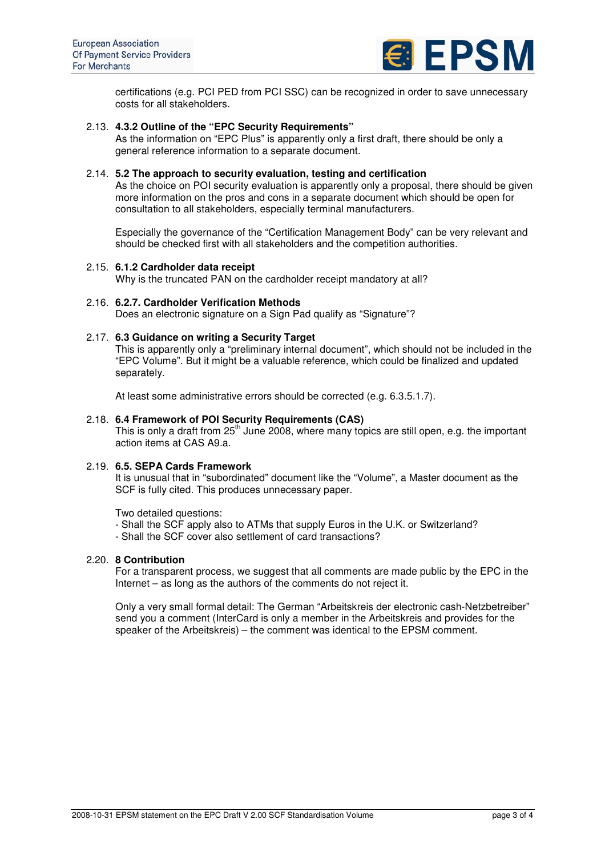

certifications (e.g. PCI PED from PCI SSC) can be recognized in order to save unnecessary costs for all stakeholders.

# 2.13. **4.3.2 Outline of the "EPC Security Requirements"**

As the information on "EPC Plus" is apparently only a first draft, there should be only a general reference information to a separate document.

#### 2.14. **5.2 The approach to security evaluation, testing and certification**

As the choice on POI security evaluation is apparently only a proposal, there should be given more information on the pros and cons in a separate document which should be open for consultation to all stakeholders, especially terminal manufacturers.

Especially the governance of the "Certification Management Body" can be very relevant and should be checked first with all stakeholders and the competition authorities.

#### 2.15. **6.1.2 Cardholder data receipt**

Why is the truncated PAN on the cardholder receipt mandatory at all?

#### 2.16. **6.2.7. Cardholder Verification Methods**

Does an electronic signature on a Sign Pad qualify as "Signature"?

# 2.17. **6.3 Guidance on writing a Security Target**

This is apparently only a "preliminary internal document", which should not be included in the "EPC Volume". But it might be a valuable reference, which could be finalized and updated separately.

At least some administrative errors should be corrected (e.g. 6.3.5.1.7).

#### 2.18. **6.4 Framework of POI Security Requirements (CAS)**

This is only a draft from 25<sup>th</sup> June 2008, where many topics are still open, e.g. the important action items at CAS A9.a.

#### 2.19. **6.5. SEPA Cards Framework**

It is unusual that in "subordinated" document like the "Volume", a Master document as the SCF is fully cited. This produces unnecessary paper.

Two detailed questions:

- Shall the SCF apply also to ATMs that supply Euros in the U.K. or Switzerland?
- Shall the SCF cover also settlement of card transactions?

#### 2.20. **8 Contribution**

For a transparent process, we suggest that all comments are made public by the EPC in the Internet – as long as the authors of the comments do not reject it.

Only a very small formal detail: The German "Arbeitskreis der electronic cash-Netzbetreiber" send you a comment (InterCard is only a member in the Arbeitskreis and provides for the speaker of the Arbeitskreis) – the comment was identical to the EPSM comment.